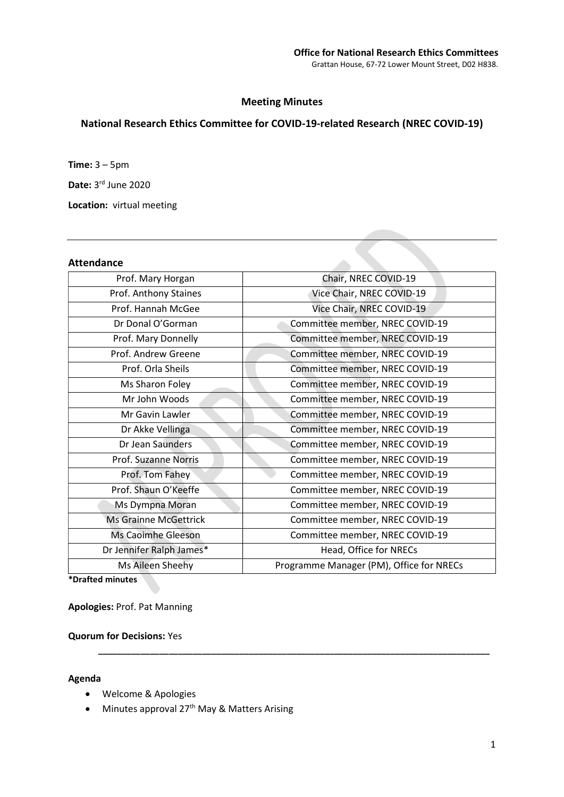# Meeting Minutes

# National Research Ethics Committee for COVID-19-related Research (NREC COVID-19)

Time: 3 – 5pm

Date: 3rd June 2020

Location: virtual meeting

## Attendance

| Prof. Mary Horgan            | Chair, NREC COVID-19                     |
|------------------------------|------------------------------------------|
| Prof. Anthony Staines        | Vice Chair, NREC COVID-19                |
| Prof. Hannah McGee           | Vice Chair, NREC COVID-19                |
| Dr Donal O'Gorman            | Committee member, NREC COVID-19          |
| Prof. Mary Donnelly          | Committee member, NREC COVID-19          |
| Prof. Andrew Greene          | Committee member, NREC COVID-19          |
| Prof. Orla Sheils            | Committee member, NREC COVID-19          |
| Ms Sharon Foley              | Committee member, NREC COVID-19          |
| Mr John Woods                | Committee member, NREC COVID-19          |
| Mr Gavin Lawler              | Committee member, NREC COVID-19          |
| Dr Akke Vellinga             | Committee member, NREC COVID-19          |
| Dr Jean Saunders             | Committee member, NREC COVID-19          |
| Prof. Suzanne Norris         | Committee member, NREC COVID-19          |
| Prof. Tom Fahey              | Committee member, NREC COVID-19          |
| Prof. Shaun O'Keeffe         | Committee member, NREC COVID-19          |
| Ms Dympna Moran              | Committee member, NREC COVID-19          |
| <b>Ms Grainne McGettrick</b> | Committee member, NREC COVID-19          |
| Ms Caoimhe Gleeson           | Committee member, NREC COVID-19          |
| Dr Jennifer Ralph James*     | Head, Office for NRECs                   |
| Ms Aileen Sheehy             | Programme Manager (PM), Office for NRECs |
|                              |                                          |

\_\_\_\_\_\_\_\_\_\_\_\_\_\_\_\_\_\_\_\_\_\_\_\_\_\_\_\_\_\_\_\_\_\_\_\_\_\_\_\_\_\_\_\_\_\_\_\_\_\_\_\_\_\_\_\_\_\_\_\_\_\_\_\_\_\_\_\_\_\_\_\_\_\_\_\_\_\_\_\_\_\_\_

\*Drafted minutes

Apologies: Prof. Pat Manning

#### Quorum for Decisions: Yes

## Agenda

- Welcome & Apologies
- Minutes approval 27<sup>th</sup> May & Matters Arising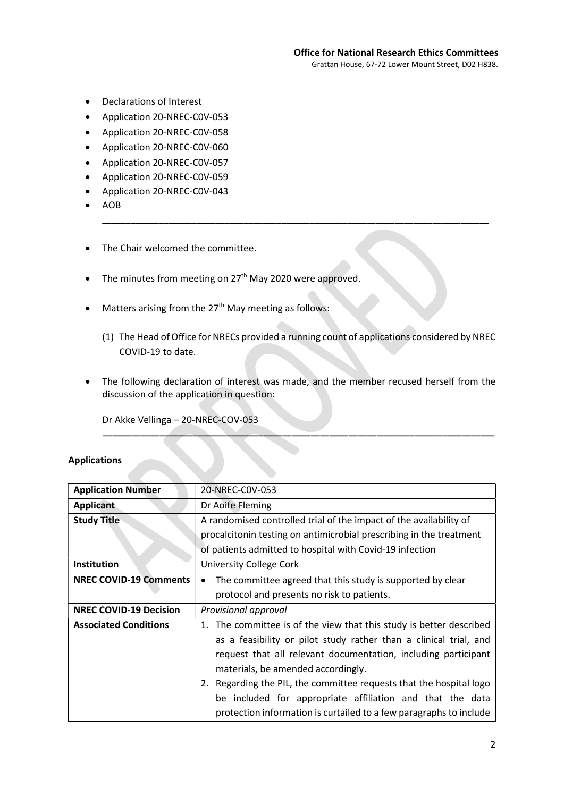- Declarations of Interest
- Application 20-NREC-C0V-053
- Application 20-NREC-C0V-058
- Application 20-NREC-C0V-060
- Application 20-NREC-C0V-057
- Application 20-NREC-C0V-059
- Application 20-NREC-C0V-043
- AOB
- The Chair welcomed the committee.
- $\bullet$  The minutes from meeting on 27<sup>th</sup> May 2020 were approved.
- Matters arising from the 27<sup>th</sup> May meeting as follows:
	- (1) The Head of Office for NRECs provided a running count of applications considered by NREC COVID-19 to date.

\_\_\_\_\_\_\_\_\_\_\_\_\_\_\_\_\_\_\_\_\_\_\_\_\_\_\_\_\_\_\_\_\_\_\_\_\_\_\_\_\_\_\_\_\_\_\_\_\_\_\_\_\_\_\_\_\_\_\_\_\_\_\_\_\_\_\_\_\_\_\_\_\_\_\_\_\_\_\_\_\_\_

• The following declaration of interest was made, and the member recused herself from the discussion of the application in question:

\_\_\_\_\_\_\_\_\_\_\_\_\_\_\_\_\_\_\_\_\_\_\_\_\_\_\_\_\_\_\_\_\_\_\_\_\_\_\_\_\_\_\_\_\_\_\_\_\_\_\_\_\_\_\_\_\_\_\_\_\_\_\_\_\_\_\_\_\_\_\_\_\_\_\_\_\_\_\_\_\_\_\_

Dr Akke Vellinga – 20-NREC-COV-053

## Applications

| <b>Application Number</b>     | 20-NREC-C0V-053                                                         |
|-------------------------------|-------------------------------------------------------------------------|
| <b>Applicant</b>              | Dr Aoife Fleming                                                        |
| <b>Study Title</b>            | A randomised controlled trial of the impact of the availability of      |
|                               | procalcitonin testing on antimicrobial prescribing in the treatment     |
|                               | of patients admitted to hospital with Covid-19 infection                |
| Institution                   | <b>University College Cork</b>                                          |
| <b>NREC COVID-19 Comments</b> | The committee agreed that this study is supported by clear<br>$\bullet$ |
|                               | protocol and presents no risk to patients.                              |
| <b>NREC COVID-19 Decision</b> | Provisional approval                                                    |
| <b>Associated Conditions</b>  | 1. The committee is of the view that this study is better described     |
|                               | as a feasibility or pilot study rather than a clinical trial, and       |
|                               | request that all relevant documentation, including participant          |
|                               | materials, be amended accordingly.                                      |
|                               | 2. Regarding the PIL, the committee requests that the hospital logo     |
|                               | be included for appropriate affiliation and that the data               |
|                               | protection information is curtailed to a few paragraphs to include      |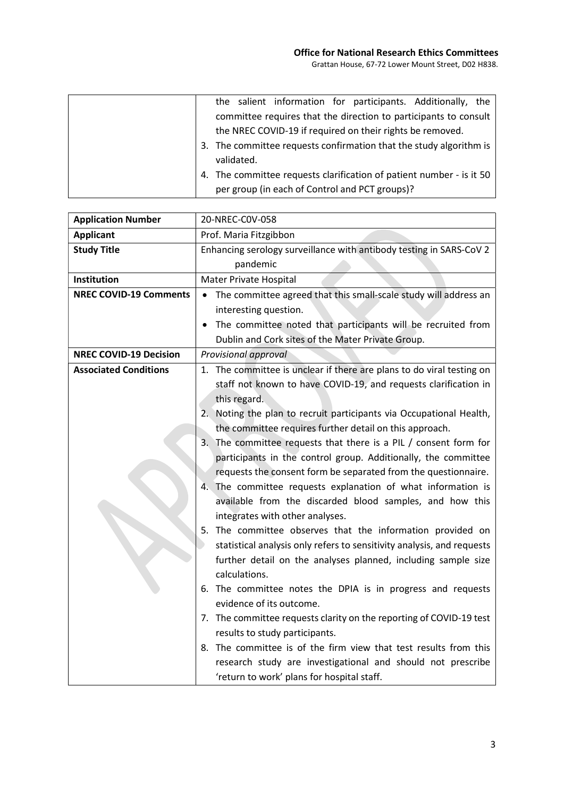| the salient information for participants. Additionally, the          |
|----------------------------------------------------------------------|
| committee requires that the direction to participants to consult     |
| the NREC COVID-19 if required on their rights be removed.            |
| 3. The committee requests confirmation that the study algorithm is   |
| validated.                                                           |
| 4. The committee requests clarification of patient number - is it 50 |
| per group (in each of Control and PCT groups)?                       |

| <b>Application Number</b>     | 20-NREC-COV-058                                                           |
|-------------------------------|---------------------------------------------------------------------------|
| <b>Applicant</b>              | Prof. Maria Fitzgibbon                                                    |
| <b>Study Title</b>            | Enhancing serology surveillance with antibody testing in SARS-CoV 2       |
|                               | pandemic                                                                  |
| Institution                   | Mater Private Hospital                                                    |
| <b>NREC COVID-19 Comments</b> | The committee agreed that this small-scale study will address an          |
|                               | interesting question.                                                     |
|                               | The committee noted that participants will be recruited from<br>$\bullet$ |
|                               | Dublin and Cork sites of the Mater Private Group.                         |
| <b>NREC COVID-19 Decision</b> | Provisional approval                                                      |
| <b>Associated Conditions</b>  | 1. The committee is unclear if there are plans to do viral testing on     |
|                               | staff not known to have COVID-19, and requests clarification in           |
|                               | this regard.                                                              |
|                               | 2. Noting the plan to recruit participants via Occupational Health,       |
|                               | the committee requires further detail on this approach.                   |
|                               | 3. The committee requests that there is a PIL / consent form for          |
|                               | participants in the control group. Additionally, the committee            |
|                               | requests the consent form be separated from the questionnaire.            |
|                               | The committee requests explanation of what information is<br>4.           |
|                               | available from the discarded blood samples, and how this                  |
|                               | integrates with other analyses.                                           |
|                               | 5. The committee observes that the information provided on                |
|                               | statistical analysis only refers to sensitivity analysis, and requests    |
|                               | further detail on the analyses planned, including sample size             |
|                               | calculations.                                                             |
|                               | 6. The committee notes the DPIA is in progress and requests               |
|                               | evidence of its outcome.                                                  |
|                               | 7. The committee requests clarity on the reporting of COVID-19 test       |
|                               | results to study participants.                                            |
|                               | 8. The committee is of the firm view that test results from this          |
|                               | research study are investigational and should not prescribe               |
|                               | 'return to work' plans for hospital staff.                                |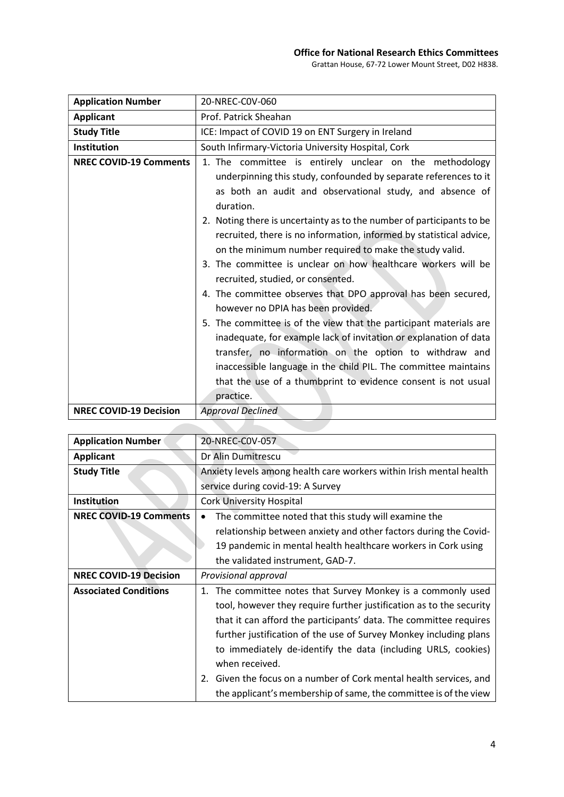## Office for National Research Ethics Committees

Grattan House, 67-72 Lower Mount Street, D02 H838.

| <b>Application Number</b>     | 20-NREC-C0V-060                                                       |
|-------------------------------|-----------------------------------------------------------------------|
| <b>Applicant</b>              | Prof. Patrick Sheahan                                                 |
| <b>Study Title</b>            | ICE: Impact of COVID 19 on ENT Surgery in Ireland                     |
| Institution                   | South Infirmary-Victoria University Hospital, Cork                    |
| <b>NREC COVID-19 Comments</b> | 1. The committee is entirely unclear on the methodology               |
|                               | underpinning this study, confounded by separate references to it      |
|                               | as both an audit and observational study, and absence of              |
|                               | duration.                                                             |
|                               | 2. Noting there is uncertainty as to the number of participants to be |
|                               | recruited, there is no information, informed by statistical advice,   |
|                               | on the minimum number required to make the study valid.               |
|                               | 3. The committee is unclear on how healthcare workers will be         |
|                               | recruited, studied, or consented.                                     |
|                               | 4. The committee observes that DPO approval has been secured,         |
|                               | however no DPIA has been provided.                                    |
|                               | 5. The committee is of the view that the participant materials are    |
|                               | inadequate, for example lack of invitation or explanation of data     |
|                               | transfer, no information on the option to withdraw and                |
|                               | inaccessible language in the child PIL. The committee maintains       |
|                               | that the use of a thumbprint to evidence consent is not usual         |
|                               | practice.                                                             |
| <b>NREC COVID-19 Decision</b> | <b>Approval Declined</b>                                              |

| <b>Application Number</b>     | 20-NREC-C0V-057                                                       |
|-------------------------------|-----------------------------------------------------------------------|
| <b>Applicant</b>              | Dr Alin Dumitrescu                                                    |
| <b>Study Title</b>            | Anxiety levels among health care workers within Irish mental health   |
|                               | service during covid-19: A Survey                                     |
| <b>Institution</b>            | <b>Cork University Hospital</b>                                       |
| <b>NREC COVID-19 Comments</b> | The committee noted that this study will examine the                  |
|                               | relationship between anxiety and other factors during the Covid-      |
|                               | 19 pandemic in mental health healthcare workers in Cork using         |
|                               | the validated instrument, GAD-7.                                      |
| <b>NREC COVID-19 Decision</b> | Provisional approval                                                  |
| <b>Associated Conditions</b>  | 1. The committee notes that Survey Monkey is a commonly used          |
|                               |                                                                       |
|                               | tool, however they require further justification as to the security   |
|                               | that it can afford the participants' data. The committee requires     |
|                               | further justification of the use of Survey Monkey including plans     |
|                               | to immediately de-identify the data (including URLS, cookies)         |
|                               | when received.                                                        |
|                               | Given the focus on a number of Cork mental health services, and<br>2. |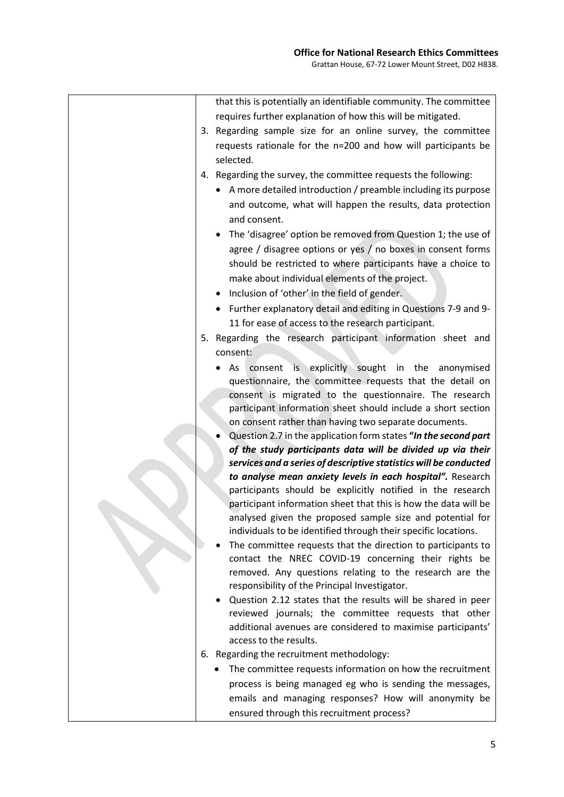| that this is potentially an identifiable community. The committee                                                              |
|--------------------------------------------------------------------------------------------------------------------------------|
| requires further explanation of how this will be mitigated.                                                                    |
| 3. Regarding sample size for an online survey, the committee                                                                   |
| requests rationale for the n=200 and how will participants be                                                                  |
| selected.                                                                                                                      |
| 4. Regarding the survey, the committee requests the following:                                                                 |
| • A more detailed introduction / preamble including its purpose                                                                |
| and outcome, what will happen the results, data protection                                                                     |
| and consent.                                                                                                                   |
| The 'disagree' option be removed from Question 1; the use of                                                                   |
| agree / disagree options or yes / no boxes in consent forms                                                                    |
| should be restricted to where participants have a choice to                                                                    |
| make about individual elements of the project.                                                                                 |
| • Inclusion of 'other' in the field of gender.                                                                                 |
| • Further explanatory detail and editing in Questions 7-9 and 9-                                                               |
| 11 for ease of access to the research participant.                                                                             |
| 5. Regarding the research participant information sheet and                                                                    |
| consent:                                                                                                                       |
| As consent is explicitly sought in the anonymised                                                                              |
| questionnaire, the committee requests that the detail on                                                                       |
| consent is migrated to the questionnaire. The research                                                                         |
| participant information sheet should include a short section                                                                   |
| on consent rather than having two separate documents.                                                                          |
| Question 2.7 in the application form states "In the second part<br>of the study participants data will be divided up via their |
| services and a series of descriptive statistics will be conducted                                                              |
| to analyse mean anxiety levels in each hospital". Research                                                                     |
| participants should be explicitly notified in the research                                                                     |
| participant information sheet that this is how the data will be                                                                |
| analysed given the proposed sample size and potential for                                                                      |
| individuals to be identified through their specific locations.                                                                 |
| The committee requests that the direction to participants to                                                                   |
| contact the NREC COVID-19 concerning their rights be                                                                           |
| removed. Any questions relating to the research are the                                                                        |
| responsibility of the Principal Investigator.                                                                                  |
| Question 2.12 states that the results will be shared in peer                                                                   |
| reviewed journals; the committee requests that other<br>additional avenues are considered to maximise participants'            |
| access to the results.                                                                                                         |
| 6. Regarding the recruitment methodology:                                                                                      |
| The committee requests information on how the recruitment                                                                      |
| process is being managed eg who is sending the messages,                                                                       |
| emails and managing responses? How will anonymity be                                                                           |
| ensured through this recruitment process?                                                                                      |
|                                                                                                                                |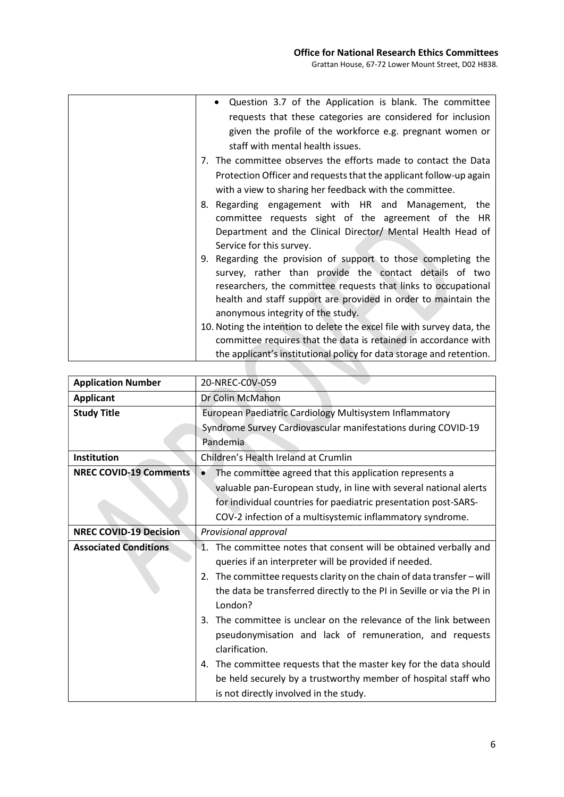| Question 3.7 of the Application is blank. The committee                                                                                                                                   |
|-------------------------------------------------------------------------------------------------------------------------------------------------------------------------------------------|
| requests that these categories are considered for inclusion                                                                                                                               |
| given the profile of the workforce e.g. pregnant women or                                                                                                                                 |
| staff with mental health issues.                                                                                                                                                          |
| 7. The committee observes the efforts made to contact the Data                                                                                                                            |
| Protection Officer and requests that the applicant follow-up again                                                                                                                        |
| with a view to sharing her feedback with the committee.                                                                                                                                   |
| 8. Regarding engagement with HR and Management, the<br>committee requests sight of the agreement of the HR                                                                                |
| Department and the Clinical Director/ Mental Health Head of                                                                                                                               |
| Service for this survey.                                                                                                                                                                  |
| 9. Regarding the provision of support to those completing the<br>survey, rather than provide the contact details of two<br>researchers, the committee requests that links to occupational |
| health and staff support are provided in order to maintain the<br>anonymous integrity of the study.                                                                                       |
| 10. Noting the intention to delete the excel file with survey data, the                                                                                                                   |
| committee requires that the data is retained in accordance with                                                                                                                           |
| the applicant's institutional policy for data storage and retention.                                                                                                                      |

| <b>Application Number</b>     | 20-NREC-C0V-059                                                             |
|-------------------------------|-----------------------------------------------------------------------------|
| <b>Applicant</b>              | Dr Colin McMahon                                                            |
| <b>Study Title</b>            | European Paediatric Cardiology Multisystem Inflammatory                     |
|                               | Syndrome Survey Cardiovascular manifestations during COVID-19               |
|                               | Pandemia                                                                    |
| <b>Institution</b>            | Children's Health Ireland at Crumlin                                        |
| <b>NREC COVID-19 Comments</b> | The committee agreed that this application represents a                     |
|                               | valuable pan-European study, in line with several national alerts           |
|                               | for individual countries for paediatric presentation post-SARS-             |
|                               | COV-2 infection of a multisystemic inflammatory syndrome.                   |
| <b>NREC COVID-19 Decision</b> | Provisional approval                                                        |
| <b>Associated Conditions</b>  | 1. The committee notes that consent will be obtained verbally and           |
|                               | queries if an interpreter will be provided if needed.                       |
|                               | The committee requests clarity on the chain of data transfer $-$ will<br>2. |
|                               | the data be transferred directly to the PI in Seville or via the PI in      |
|                               | London?                                                                     |
|                               | The committee is unclear on the relevance of the link between<br>3.         |
|                               | pseudonymisation and lack of remuneration, and requests                     |
|                               | clarification.                                                              |
|                               | 4. The committee requests that the master key for the data should           |
|                               | be held securely by a trustworthy member of hospital staff who              |
|                               | is not directly involved in the study.                                      |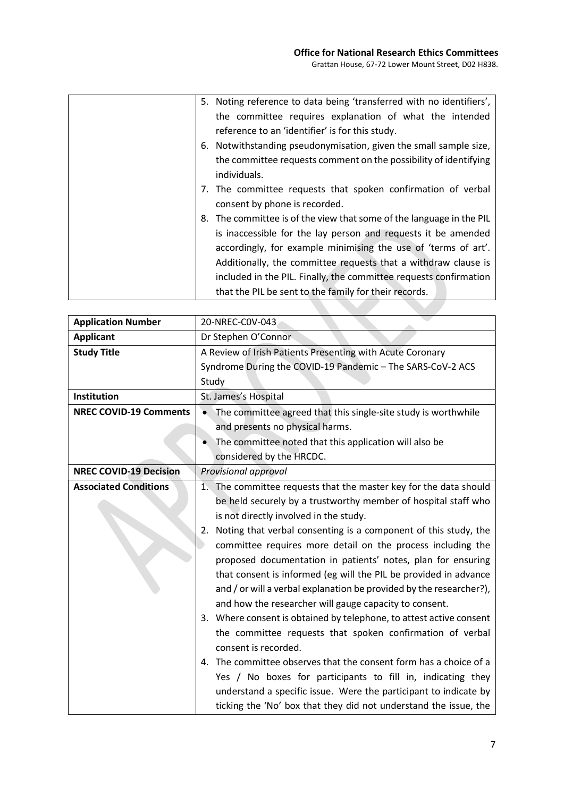| 5. Noting reference to data being 'transferred with no identifiers',             |
|----------------------------------------------------------------------------------|
| the committee requires explanation of what the intended                          |
| reference to an 'identifier' is for this study.                                  |
| 6. Notwithstanding pseudonymisation, given the small sample size,                |
| the committee requests comment on the possibility of identifying<br>individuals. |
| 7. The committee requests that spoken confirmation of verbal                     |
| consent by phone is recorded.                                                    |
| 8. The committee is of the view that some of the language in the PIL             |
| is inaccessible for the lay person and requests it be amended                    |
| accordingly, for example minimising the use of 'terms of art'.                   |
| Additionally, the committee requests that a withdraw clause is                   |
| included in the PIL. Finally, the committee requests confirmation                |
| that the PIL be sent to the family for their records.                            |

| <b>Application Number</b>     | 20-NREC-C0V-043                                                             |
|-------------------------------|-----------------------------------------------------------------------------|
| <b>Applicant</b>              | Dr Stephen O'Connor                                                         |
| <b>Study Title</b>            | A Review of Irish Patients Presenting with Acute Coronary                   |
|                               | Syndrome During the COVID-19 Pandemic - The SARS-CoV-2 ACS                  |
|                               | Study                                                                       |
| Institution                   | St. James's Hospital                                                        |
| <b>NREC COVID-19 Comments</b> | The committee agreed that this single-site study is worthwhile<br>$\bullet$ |
|                               | and presents no physical harms.                                             |
|                               | The committee noted that this application will also be                      |
|                               | considered by the HRCDC.                                                    |
| <b>NREC COVID-19 Decision</b> | Provisional approval                                                        |
| <b>Associated Conditions</b>  | 1. The committee requests that the master key for the data should           |
|                               | be held securely by a trustworthy member of hospital staff who              |
|                               | is not directly involved in the study.                                      |
|                               | Noting that verbal consenting is a component of this study, the<br>2.       |
|                               | committee requires more detail on the process including the                 |
|                               | proposed documentation in patients' notes, plan for ensuring                |
|                               | that consent is informed (eg will the PIL be provided in advance            |
|                               | and / or will a verbal explanation be provided by the researcher?),         |
|                               | and how the researcher will gauge capacity to consent.                      |
|                               | 3. Where consent is obtained by telephone, to attest active consent         |
|                               | the committee requests that spoken confirmation of verbal                   |
|                               | consent is recorded.                                                        |
|                               | 4. The committee observes that the consent form has a choice of a           |
|                               | Yes / No boxes for participants to fill in, indicating they                 |
|                               | understand a specific issue. Were the participant to indicate by            |
|                               | ticking the 'No' box that they did not understand the issue, the            |